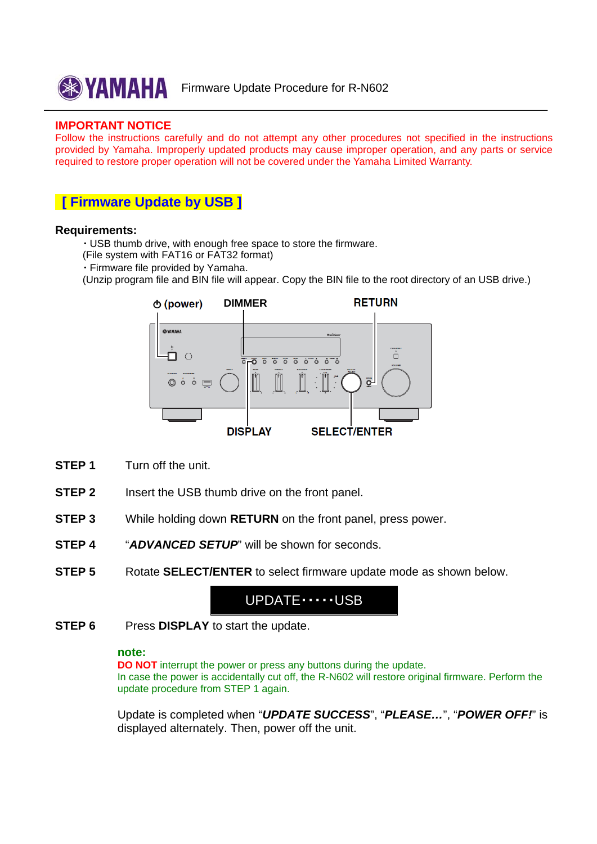

#### **IMPORTANT NOTICE**

Follow the instructions carefully and do not attempt any other procedures not specified in the instructions provided by Yamaha. Improperly updated products may cause improper operation, and any parts or service required to restore proper operation will not be covered under the Yamaha Limited Warranty.

### **[ Firmware Update by USB ]**

#### **Requirements:**

・ USB thumb drive, with enough free space to store the firmware.

- (File system with FAT16 or FAT32 format)
- ・ Firmware file provided by Yamaha.
- (Unzip program file and BIN file will appear. Copy the BIN file to the root directory of an USB drive.)



- **STEP 1** Turn off the unit.
- **STEP 2** Insert the USB thumb drive on the front panel.
- **STEP 3** While holding down **RETURN** on the front panel, press power.
- **STEP 4** "*ADVANCED SETUP*" will be shown for seconds.
- **STEP 5** Rotate **SELECT/ENTER** to select firmware update mode as shown below.

# UPDATE・・・・・USB

**STEP 6** Press **DISPLAY** to start the update.

#### **note:**

**DO NOT** interrupt the power or press any buttons during the update. In case the power is accidentally cut off, the R-N602 will restore original firmware. Perform the update procedure from STEP 1 again.

Update is completed when "*UPDATE SUCCESS*", "*PLEASE…*", "*POWER OFF!*" is displayed alternately. Then, power off the unit.